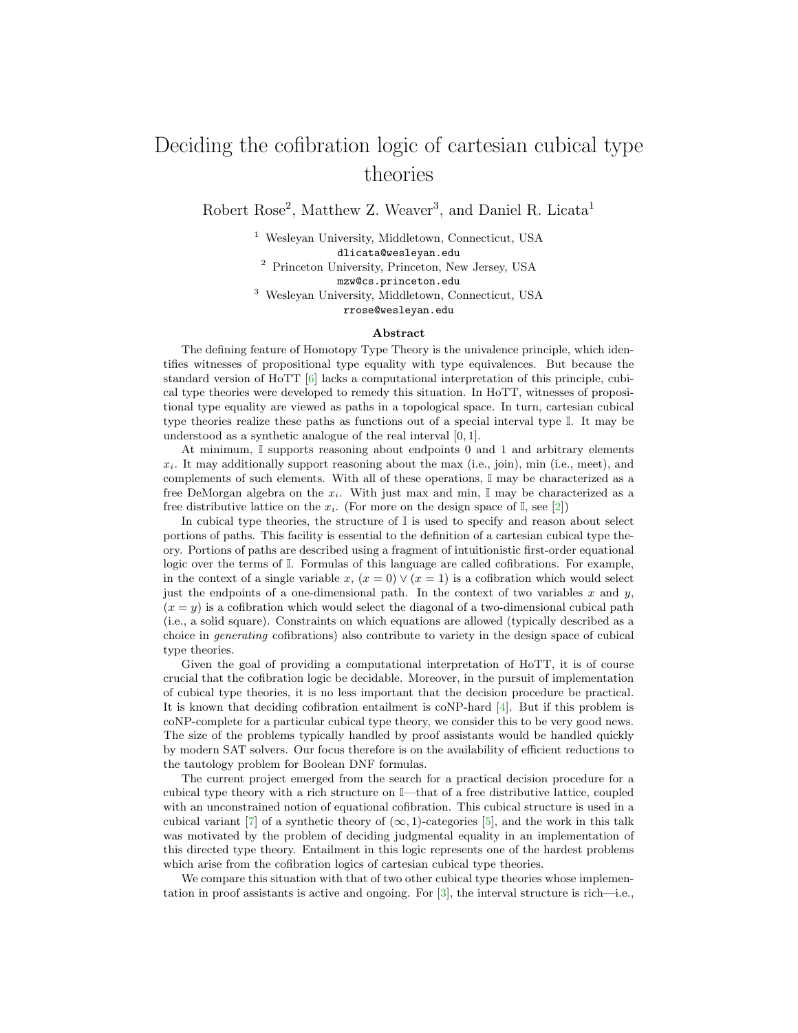## Deciding the cofibration logic of cartesian cubical type theories

Robert Rose<sup>2</sup>, Matthew Z. Weaver<sup>3</sup>, and Daniel R. Licata<sup>1</sup>

<sup>1</sup> Wesleyan University, Middletown, Connecticut, USA dlicata@wesleyan.edu <sup>2</sup> Princeton University, Princeton, New Jersey, USA mzw@cs.princeton.edu <sup>3</sup> Wesleyan University, Middletown, Connecticut, USA rrose@wesleyan.edu

## Abstract

The defining feature of Homotopy Type Theory is the univalence principle, which identifies witnesses of propositional type equality with type equivalences. But because the standard version of HoTT [\[6\]](#page-1-0) lacks a computational interpretation of this principle, cubical type theories were developed to remedy this situation. In HoTT, witnesses of propositional type equality are viewed as paths in a topological space. In turn, cartesian cubical type theories realize these paths as functions out of a special interval type I. It may be understood as a synthetic analogue of the real interval [0, 1].

At minimum, I supports reasoning about endpoints 0 and 1 and arbitrary elements  $x_i$ . It may additionally support reasoning about the max (i.e., join), min (i.e., meet), and complements of such elements. With all of these operations, I may be characterized as a free DeMorgan algebra on the  $x_i$ . With just max and min, I may be characterized as a free distributive lattice on the  $x_i$ . (For more on the design space of I, see [\[2\]](#page-1-1))

In cubical type theories, the structure of  $\mathbb I$  is used to specify and reason about select portions of paths. This facility is essential to the definition of a cartesian cubical type theory. Portions of paths are described using a fragment of intuitionistic first-order equational logic over the terms of I. Formulas of this language are called cofibrations. For example, in the context of a single variable x,  $(x = 0) \vee (x = 1)$  is a cofibration which would select just the endpoints of a one-dimensional path. In the context of two variables  $x$  and  $y$ ,  $(x = y)$  is a cofibration which would select the diagonal of a two-dimensional cubical path (i.e., a solid square). Constraints on which equations are allowed (typically described as a choice in generating cofibrations) also contribute to variety in the design space of cubical type theories.

Given the goal of providing a computational interpretation of HoTT, it is of course crucial that the cofibration logic be decidable. Moreover, in the pursuit of implementation of cubical type theories, it is no less important that the decision procedure be practical. It is known that deciding cofibration entailment is coNP-hard [\[4\]](#page-1-2). But if this problem is coNP-complete for a particular cubical type theory, we consider this to be very good news. The size of the problems typically handled by proof assistants would be handled quickly by modern SAT solvers. Our focus therefore is on the availability of efficient reductions to the tautology problem for Boolean DNF formulas.

The current project emerged from the search for a practical decision procedure for a cubical type theory with a rich structure on I—that of a free distributive lattice, coupled with an unconstrained notion of equational cofibration. This cubical structure is used in a cubical variant [\[7\]](#page-1-3) of a synthetic theory of  $(\infty, 1)$ -categories [\[5\]](#page-1-4), and the work in this talk was motivated by the problem of deciding judgmental equality in an implementation of this directed type theory. Entailment in this logic represents one of the hardest problems which arise from the cofibration logics of cartesian cubical type theories.

We compare this situation with that of two other cubical type theories whose implementation in proof assistants is active and ongoing. For [\[3\]](#page-1-5), the interval structure is rich—i.e.,